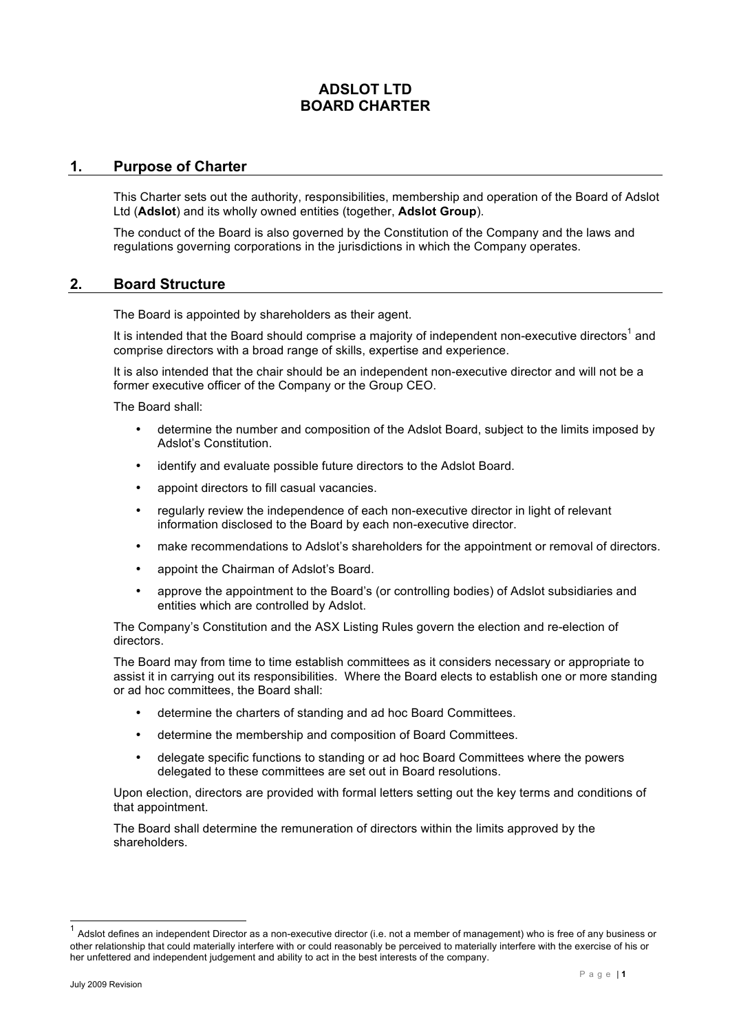# **ADSLOT LTD BOARD CHARTER**

## **1. Purpose of Charter**

This Charter sets out the authority, responsibilities, membership and operation of the Board of Adslot Ltd (**Adslot**) and its wholly owned entities (together, **Adslot Group**).

The conduct of the Board is also governed by the Constitution of the Company and the laws and regulations governing corporations in the jurisdictions in which the Company operates.

### **2. Board Structure**

The Board is appointed by shareholders as their agent.

It is intended that the Board should comprise a majority of independent non-executive directors<sup>1</sup> and comprise directors with a broad range of skills, expertise and experience.

It is also intended that the chair should be an independent non-executive director and will not be a former executive officer of the Company or the Group CEO.

The Board shall:

- determine the number and composition of the Adslot Board, subject to the limits imposed by Adslot's Constitution.
- identify and evaluate possible future directors to the Adslot Board.
- appoint directors to fill casual vacancies.
- regularly review the independence of each non-executive director in light of relevant information disclosed to the Board by each non-executive director.
- make recommendations to Adslot's shareholders for the appointment or removal of directors.
- appoint the Chairman of Adslot's Board.
- approve the appointment to the Board's (or controlling bodies) of Adslot subsidiaries and entities which are controlled by Adslot.

The Company's Constitution and the ASX Listing Rules govern the election and re-election of directors.

The Board may from time to time establish committees as it considers necessary or appropriate to assist it in carrying out its responsibilities. Where the Board elects to establish one or more standing or ad hoc committees, the Board shall:

- determine the charters of standing and ad hoc Board Committees.
- determine the membership and composition of Board Committees.
- delegate specific functions to standing or ad hoc Board Committees where the powers delegated to these committees are set out in Board resolutions.

Upon election, directors are provided with formal letters setting out the key terms and conditions of that appointment.

The Board shall determine the remuneration of directors within the limits approved by the shareholders.

Adslot defines an independent Director as a non-executive director (i.e. not a member of management) who is free of any business or other relationship that could materially interfere with or could reasonably be perceived to materially interfere with the exercise of his or her unfettered and independent judgement and ability to act in the best interests of the company.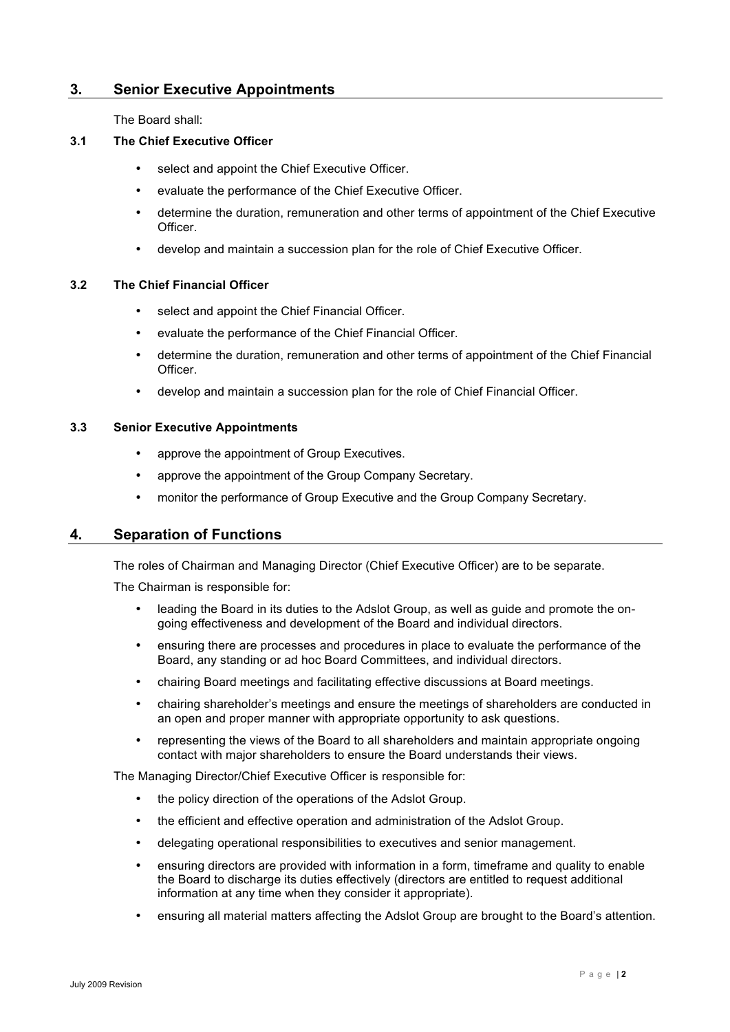## **3. Senior Executive Appointments**

The Board shall:

### **3.1 The Chief Executive Officer**

- select and appoint the Chief Executive Officer.
- evaluate the performance of the Chief Executive Officer.
- determine the duration, remuneration and other terms of appointment of the Chief Executive **Officer**
- develop and maintain a succession plan for the role of Chief Executive Officer.

#### **3.2 The Chief Financial Officer**

- select and appoint the Chief Financial Officer.
- evaluate the performance of the Chief Financial Officer.
- determine the duration, remuneration and other terms of appointment of the Chief Financial Officer.
- develop and maintain a succession plan for the role of Chief Financial Officer.

#### **3.3 Senior Executive Appointments**

- approve the appointment of Group Executives.
- approve the appointment of the Group Company Secretary.
- monitor the performance of Group Executive and the Group Company Secretary.

### **4. Separation of Functions**

The roles of Chairman and Managing Director (Chief Executive Officer) are to be separate.

The Chairman is responsible for:

- leading the Board in its duties to the Adslot Group, as well as guide and promote the ongoing effectiveness and development of the Board and individual directors.
- ensuring there are processes and procedures in place to evaluate the performance of the Board, any standing or ad hoc Board Committees, and individual directors.
- chairing Board meetings and facilitating effective discussions at Board meetings.
- chairing shareholder's meetings and ensure the meetings of shareholders are conducted in an open and proper manner with appropriate opportunity to ask questions.
- representing the views of the Board to all shareholders and maintain appropriate ongoing contact with major shareholders to ensure the Board understands their views.

The Managing Director/Chief Executive Officer is responsible for:

- the policy direction of the operations of the Adslot Group.
- the efficient and effective operation and administration of the Adslot Group.
- delegating operational responsibilities to executives and senior management.
- ensuring directors are provided with information in a form, timeframe and quality to enable the Board to discharge its duties effectively (directors are entitled to request additional information at any time when they consider it appropriate).
- ensuring all material matters affecting the Adslot Group are brought to the Board's attention.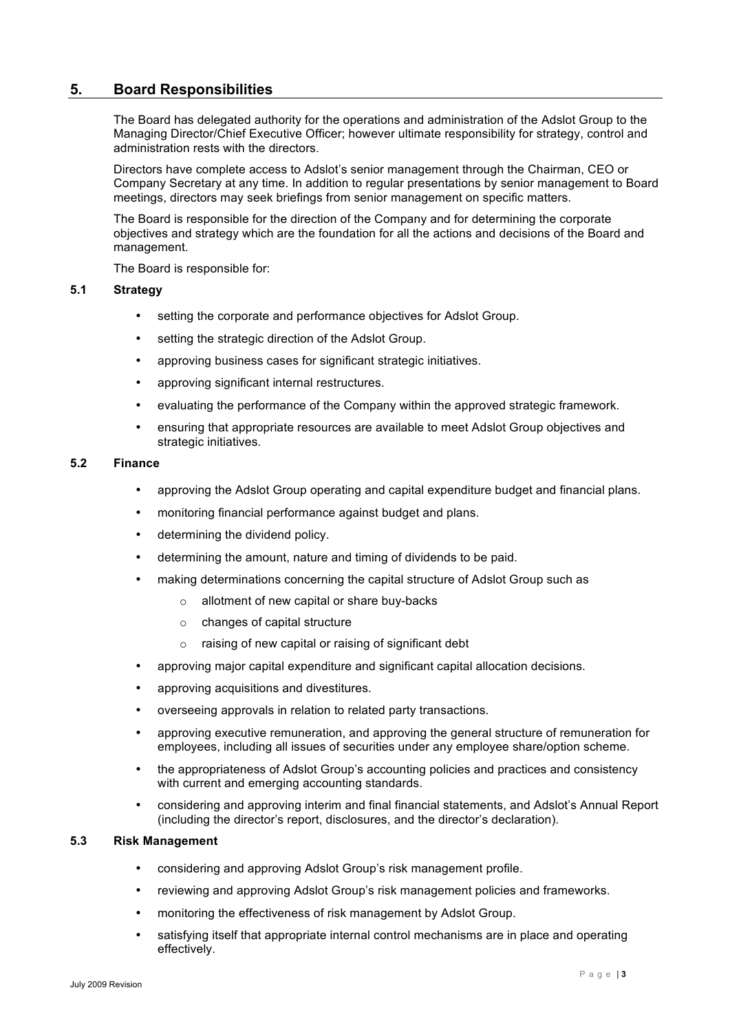## **5. Board Responsibilities**

The Board has delegated authority for the operations and administration of the Adslot Group to the Managing Director/Chief Executive Officer; however ultimate responsibility for strategy, control and administration rests with the directors.

Directors have complete access to Adslot's senior management through the Chairman, CEO or Company Secretary at any time. In addition to regular presentations by senior management to Board meetings, directors may seek briefings from senior management on specific matters.

The Board is responsible for the direction of the Company and for determining the corporate objectives and strategy which are the foundation for all the actions and decisions of the Board and management.

The Board is responsible for:

### **5.1 Strategy**

- setting the corporate and performance objectives for Adslot Group.
- setting the strategic direction of the Adslot Group.
- approving business cases for significant strategic initiatives.
- approving significant internal restructures.
- evaluating the performance of the Company within the approved strategic framework.
- ensuring that appropriate resources are available to meet Adslot Group objectives and strategic initiatives.

#### **5.2 Finance**

- approving the Adslot Group operating and capital expenditure budget and financial plans.
- monitoring financial performance against budget and plans.
- determining the dividend policy.
- determining the amount, nature and timing of dividends to be paid.
- making determinations concerning the capital structure of Adslot Group such as
	- o allotment of new capital or share buy-backs
	- o changes of capital structure
	- o raising of new capital or raising of significant debt
- approving major capital expenditure and significant capital allocation decisions.
- approving acquisitions and divestitures.
- overseeing approvals in relation to related party transactions.
- approving executive remuneration, and approving the general structure of remuneration for employees, including all issues of securities under any employee share/option scheme.
- the appropriateness of Adslot Group's accounting policies and practices and consistency with current and emerging accounting standards.
- considering and approving interim and final financial statements, and Adslot's Annual Report (including the director's report, disclosures, and the director's declaration).

### **5.3 Risk Management**

- considering and approving Adslot Group's risk management profile.
- reviewing and approving Adslot Group's risk management policies and frameworks.
- monitoring the effectiveness of risk management by Adslot Group.
- satisfying itself that appropriate internal control mechanisms are in place and operating effectively.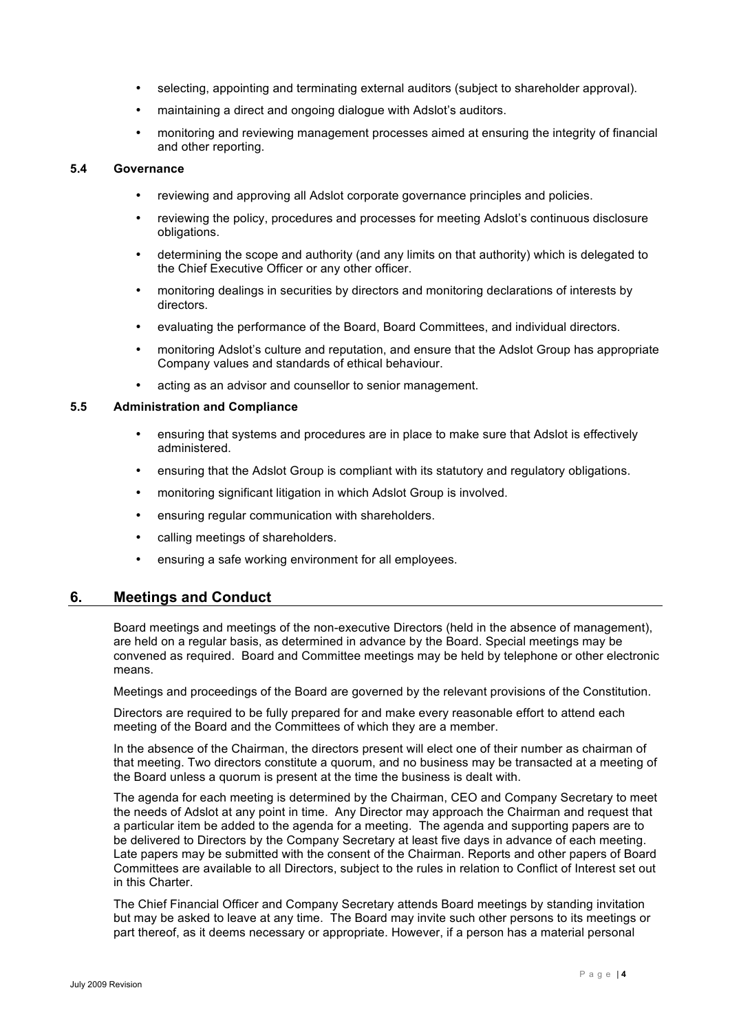- selecting, appointing and terminating external auditors (subject to shareholder approval).
- maintaining a direct and ongoing dialogue with Adslot's auditors.
- monitoring and reviewing management processes aimed at ensuring the integrity of financial and other reporting.

#### **5.4 Governance**

- reviewing and approving all Adslot corporate governance principles and policies.
- reviewing the policy, procedures and processes for meeting Adslot's continuous disclosure obligations.
- determining the scope and authority (and any limits on that authority) which is delegated to the Chief Executive Officer or any other officer.
- monitoring dealings in securities by directors and monitoring declarations of interests by directors.
- evaluating the performance of the Board, Board Committees, and individual directors.
- monitoring Adslot's culture and reputation, and ensure that the Adslot Group has appropriate Company values and standards of ethical behaviour.
- acting as an advisor and counsellor to senior management.

#### **5.5 Administration and Compliance**

- ensuring that systems and procedures are in place to make sure that Adslot is effectively administered.
- ensuring that the Adslot Group is compliant with its statutory and regulatory obligations.
- monitoring significant litigation in which Adslot Group is involved.
- ensuring regular communication with shareholders.
- calling meetings of shareholders.
- ensuring a safe working environment for all employees.

## **6. Meetings and Conduct**

Board meetings and meetings of the non-executive Directors (held in the absence of management), are held on a regular basis, as determined in advance by the Board. Special meetings may be convened as required. Board and Committee meetings may be held by telephone or other electronic means.

Meetings and proceedings of the Board are governed by the relevant provisions of the Constitution.

Directors are required to be fully prepared for and make every reasonable effort to attend each meeting of the Board and the Committees of which they are a member.

In the absence of the Chairman, the directors present will elect one of their number as chairman of that meeting. Two directors constitute a quorum, and no business may be transacted at a meeting of the Board unless a quorum is present at the time the business is dealt with.

The agenda for each meeting is determined by the Chairman, CEO and Company Secretary to meet the needs of Adslot at any point in time. Any Director may approach the Chairman and request that a particular item be added to the agenda for a meeting. The agenda and supporting papers are to be delivered to Directors by the Company Secretary at least five days in advance of each meeting. Late papers may be submitted with the consent of the Chairman. Reports and other papers of Board Committees are available to all Directors, subject to the rules in relation to Conflict of Interest set out in this Charter.

The Chief Financial Officer and Company Secretary attends Board meetings by standing invitation but may be asked to leave at any time. The Board may invite such other persons to its meetings or part thereof, as it deems necessary or appropriate. However, if a person has a material personal